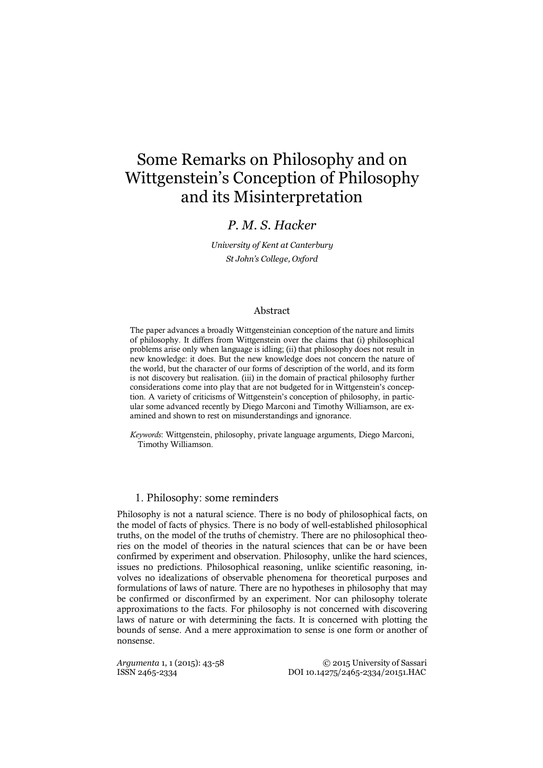# Some Remarks on Philosophy and on Wittgenstein's Conception of Philosophy and its Misinterpretation

# *P. M. S. Hacker*

*University of Kent at Canterbury St John's College, Oxford*

### Abstract

The paper advances a broadly Wittgensteinian conception of the nature and limits of philosophy. It differs from Wittgenstein over the claims that (i) philosophical problems arise only when language is idling; (ii) that philosophy does not result in new knowledge: it does. But the new knowledge does not concern the nature of the world, but the character of our forms of description of the world, and its form is not discovery but realisation. (iii) in the domain of practical philosophy further considerations come into play that are not budgeted for in Wittgenstein's conception. A variety of criticisms of Wittgenstein's conception of philosophy, in particular some advanced recently by Diego Marconi and Timothy Williamson, are examined and shown to rest on misunderstandings and ignorance.

*Keywords*: Wittgenstein, philosophy, private language arguments, Diego Marconi, Timothy Williamson.

# 1. Philosophy: some reminders

Philosophy is not a natural science. There is no body of philosophical facts, on the model of facts of physics. There is no body of well-established philosophical truths, on the model of the truths of chemistry. There are no philosophical theories on the model of theories in the natural sciences that can be or have been confirmed by experiment and observation. Philosophy, unlike the hard sciences, issues no predictions. Philosophical reasoning, unlike scientific reasoning, involves no idealizations of observable phenomena for theoretical purposes and formulations of laws of nature. There are no hypotheses in philosophy that may be confirmed or disconfirmed by an experiment. Nor can philosophy tolerate approximations to the facts. For philosophy is not concerned with discovering laws of nature or with determining the facts. It is concerned with plotting the bounds of sense. And a mere approximation to sense is one form or another of nonsense.

*Argumenta* 1, 1 (2015): 43-58 © 2015 University of Sassari ISSN 2465-2334 DOI 10.14275/2465-2334/20151.HAC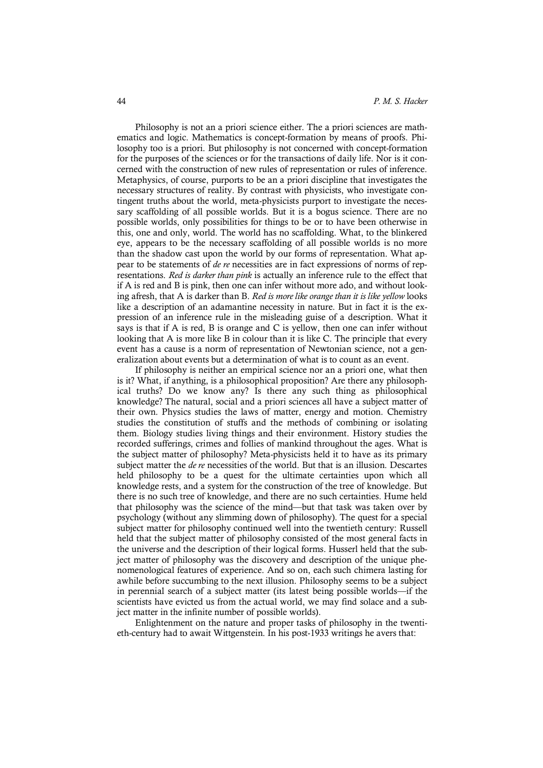Philosophy is not an a priori science either. The a priori sciences are mathematics and logic. Mathematics is concept-formation by means of proofs. Philosophy too is a priori. But philosophy is not concerned with concept-formation for the purposes of the sciences or for the transactions of daily life. Nor is it concerned with the construction of new rules of representation or rules of inference. Metaphysics, of course, purports to be an a priori discipline that investigates the necessary structures of reality. By contrast with physicists, who investigate contingent truths about the world, meta-physicists purport to investigate the necessary scaffolding of all possible worlds. But it is a bogus science. There are no possible worlds, only possibilities for things to be or to have been otherwise in this, one and only, world. The world has no scaffolding. What, to the blinkered eye, appears to be the necessary scaffolding of all possible worlds is no more than the shadow cast upon the world by our forms of representation. What appear to be statements of *de re* necessities are in fact expressions of norms of representations. *Red is darker than pink* is actually an inference rule to the effect that if A is red and B is pink, then one can infer without more ado, and without looking afresh, that A is darker than B. *Red is more like orange than it is like yellow* looks like a description of an adamantine necessity in nature. But in fact it is the expression of an inference rule in the misleading guise of a description. What it says is that if A is red, B is orange and C is yellow, then one can infer without looking that A is more like B in colour than it is like C. The principle that every event has a cause is a norm of representation of Newtonian science, not a generalization about events but a determination of what is to count as an event.

If philosophy is neither an empirical science nor an a priori one, what then is it? What, if anything, is a philosophical proposition? Are there any philosophical truths? Do we know any? Is there any such thing as philosophical knowledge? The natural, social and a priori sciences all have a subject matter of their own. Physics studies the laws of matter, energy and motion. Chemistry studies the constitution of stuffs and the methods of combining or isolating them. Biology studies living things and their environment. History studies the recorded sufferings, crimes and follies of mankind throughout the ages. What is the subject matter of philosophy? Meta-physicists held it to have as its primary subject matter the *de re* necessities of the world. But that is an illusion. Descartes held philosophy to be a quest for the ultimate certainties upon which all knowledge rests, and a system for the construction of the tree of knowledge. But there is no such tree of knowledge, and there are no such certainties. Hume held that philosophy was the science of the mind—but that task was taken over by psychology (without any slimming down of philosophy). The quest for a special subject matter for philosophy continued well into the twentieth century: Russell held that the subject matter of philosophy consisted of the most general facts in the universe and the description of their logical forms. Husserl held that the subject matter of philosophy was the discovery and description of the unique phenomenological features of experience. And so on, each such chimera lasting for awhile before succumbing to the next illusion. Philosophy seems to be a subject in perennial search of a subject matter (its latest being possible worlds—if the scientists have evicted us from the actual world, we may find solace and a subject matter in the infinite number of possible worlds).

Enlightenment on the nature and proper tasks of philosophy in the twentieth-century had to await Wittgenstein. In his post-1933 writings he avers that: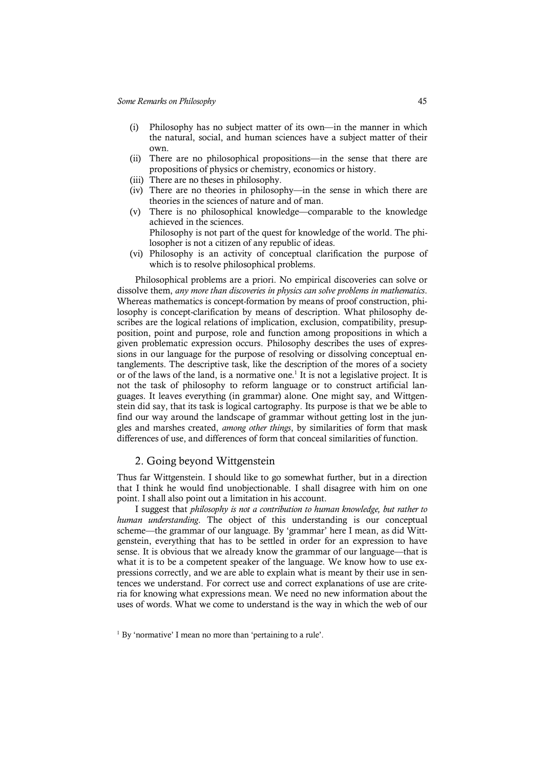- (i) Philosophy has no subject matter of its own—in the manner in which the natural, social, and human sciences have a subject matter of their own.
- (ii) There are no philosophical propositions—in the sense that there are propositions of physics or chemistry, economics or history.
- (iii) There are no theses in philosophy.
- (iv) There are no theories in philosophy—in the sense in which there are theories in the sciences of nature and of man.
- (v) There is no philosophical knowledge—comparable to the knowledge achieved in the sciences. Philosophy is not part of the quest for knowledge of the world. The phi
	- losopher is not a citizen of any republic of ideas.
- (vi) Philosophy is an activity of conceptual clarification the purpose of which is to resolve philosophical problems.

Philosophical problems are a priori. No empirical discoveries can solve or dissolve them, *any more than discoveries in physics can solve problems in mathematics*. Whereas mathematics is concept-formation by means of proof construction, philosophy is concept-clarification by means of description. What philosophy describes are the logical relations of implication, exclusion, compatibility, presupposition, point and purpose, role and function among propositions in which a given problematic expression occurs. Philosophy describes the uses of expressions in our language for the purpose of resolving or dissolving conceptual entanglements. The descriptive task, like the description of the mores of a society or of the laws of the land, is a normative one.<sup>1</sup> It is not a legislative project. It is not the task of philosophy to reform language or to construct artificial languages. It leaves everything (in grammar) alone. One might say, and Wittgenstein did say, that its task is logical cartography. Its purpose is that we be able to find our way around the landscape of grammar without getting lost in the jungles and marshes created, *among other things*, by similarities of form that mask differences of use, and differences of form that conceal similarities of function.

# 2. Going beyond Wittgenstein

Thus far Wittgenstein. I should like to go somewhat further, but in a direction that I think he would find unobjectionable. I shall disagree with him on one point. I shall also point out a limitation in his account.

I suggest that *philosophy is not a contribution to human knowledge, but rather to human understanding*. The object of this understanding is our conceptual scheme—the grammar of our language. By 'grammar' here I mean, as did Wittgenstein, everything that has to be settled in order for an expression to have sense. It is obvious that we already know the grammar of our language—that is what it is to be a competent speaker of the language. We know how to use expressions correctly, and we are able to explain what is meant by their use in sentences we understand. For correct use and correct explanations of use are criteria for knowing what expressions mean. We need no new information about the uses of words. What we come to understand is the way in which the web of our

<sup>&</sup>lt;sup>1</sup> By 'normative' I mean no more than 'pertaining to a rule'.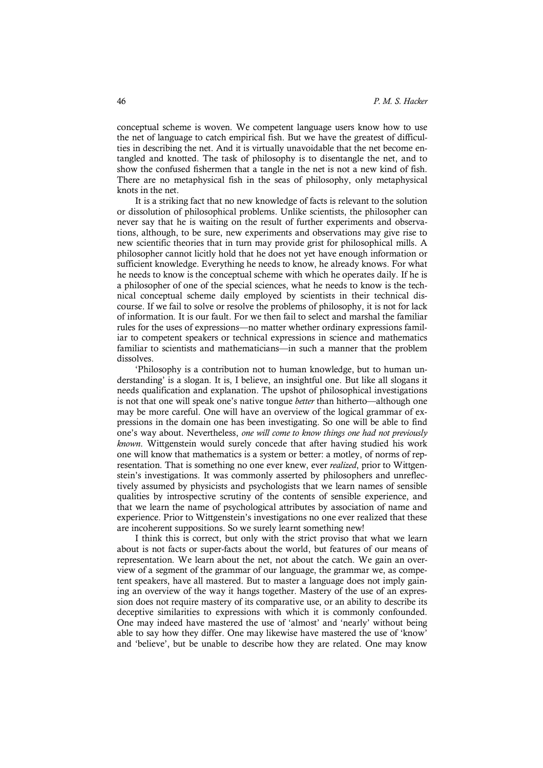conceptual scheme is woven. We competent language users know how to use the net of language to catch empirical fish. But we have the greatest of difficulties in describing the net. And it is virtually unavoidable that the net become entangled and knotted. The task of philosophy is to disentangle the net, and to show the confused fishermen that a tangle in the net is not a new kind of fish. There are no metaphysical fish in the seas of philosophy, only metaphysical knots in the net.

It is a striking fact that no new knowledge of facts is relevant to the solution or dissolution of philosophical problems. Unlike scientists, the philosopher can never say that he is waiting on the result of further experiments and observations, although, to be sure, new experiments and observations may give rise to new scientific theories that in turn may provide grist for philosophical mills. A philosopher cannot licitly hold that he does not yet have enough information or sufficient knowledge. Everything he needs to know, he already knows. For what he needs to know is the conceptual scheme with which he operates daily. If he is a philosopher of one of the special sciences, what he needs to know is the technical conceptual scheme daily employed by scientists in their technical discourse. If we fail to solve or resolve the problems of philosophy, it is not for lack of information. It is our fault. For we then fail to select and marshal the familiar rules for the uses of expressions—no matter whether ordinary expressions familiar to competent speakers or technical expressions in science and mathematics familiar to scientists and mathematicians—in such a manner that the problem dissolves.

'Philosophy is a contribution not to human knowledge, but to human understanding' is a slogan. It is, I believe, an insightful one. But like all slogans it needs qualification and explanation. The upshot of philosophical investigations is not that one will speak one's native tongue *better* than hitherto—although one may be more careful. One will have an overview of the logical grammar of expressions in the domain one has been investigating. So one will be able to find one's way about. Nevertheless, *one will come to know things one had not previously known*. Wittgenstein would surely concede that after having studied his work one will know that mathematics is a system or better: a motley, of norms of representation. That is something no one ever knew, ever *realized*, prior to Wittgenstein's investigations. It was commonly asserted by philosophers and unreflectively assumed by physicists and psychologists that we learn names of sensible qualities by introspective scrutiny of the contents of sensible experience, and that we learn the name of psychological attributes by association of name and experience. Prior to Wittgenstein's investigations no one ever realized that these are incoherent suppositions. So we surely learnt something new!

I think this is correct, but only with the strict proviso that what we learn about is not facts or super-facts about the world, but features of our means of representation. We learn about the net, not about the catch. We gain an overview of a segment of the grammar of our language, the grammar we, as competent speakers, have all mastered. But to master a language does not imply gaining an overview of the way it hangs together. Mastery of the use of an expression does not require mastery of its comparative use, or an ability to describe its deceptive similarities to expressions with which it is commonly confounded. One may indeed have mastered the use of 'almost' and 'nearly' without being able to say how they differ. One may likewise have mastered the use of 'know' and 'believe', but be unable to describe how they are related. One may know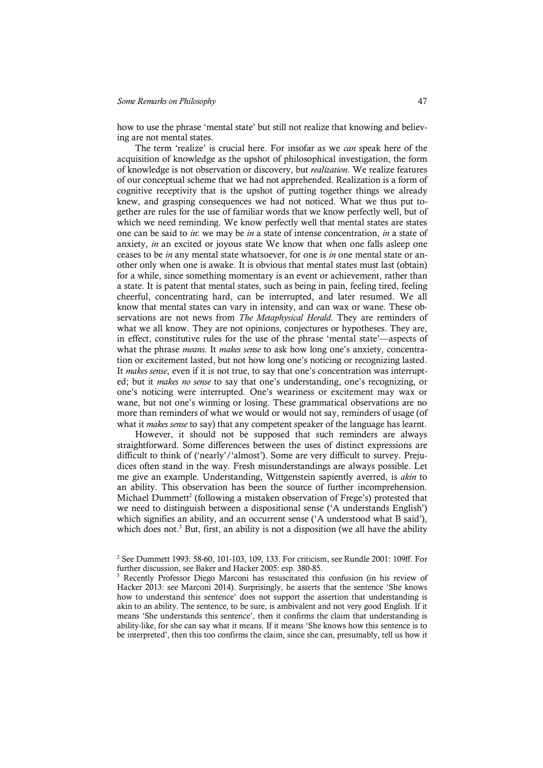#### *Some Remarks on Philosophy* 47

how to use the phrase 'mental state' but still not realize that knowing and believing are not mental states.

The term 'realize' is crucial here. For insofar as we *can* speak here of the acquisition of knowledge as the upshot of philosophical investigation, the form of knowledge is not observation or discovery, but *realization*. We realize features of our conceptual scheme that we had not apprehended. Realization is a form of cognitive receptivity that is the upshot of putting together things we already knew, and grasping consequences we had not noticed. What we thus put together are rules for the use of familiar words that we know perfectly well, but of which we need reminding. We know perfectly well that mental states are states one can be said to *in*: we may be *in* a state of intense concentration, *in* a state of anxiety, *in* an excited or joyous state We know that when one falls asleep one ceases to be *in* any mental state whatsoever, for one is *in* one mental state or another only when one is awake. It is obvious that mental states must last (obtain) for a while, since something momentary is an event or achievement, rather than a state. It is patent that mental states, such as being in pain, feeling tired, feeling cheerful, concentrating hard, can be interrupted, and later resumed. We all know that mental states can vary in intensity, and can wax or wane. These observations are not news from *The Metaphysical Herald*. They are reminders of what we all know. They are not opinions, conjectures or hypotheses. They are, in effect, constitutive rules for the use of the phrase 'mental state'—aspects of what the phrase *means*. It *makes sense* to ask how long one's anxiety, concentration or excitement lasted, but not how long one's noticing or recognizing lasted. It *makes sense*, even if it is not true, to say that one's concentration was interrupted; but it *makes no sense* to say that one's understanding, one's recognizing, or one's noticing were interrupted. One's weariness or excitement may wax or wane, but not one's winning or losing. These grammatical observations are no more than reminders of what we would or would not say, reminders of usage (of what it *makes sense* to say) that any competent speaker of the language has learnt.

However, it should not be supposed that such reminders are always straightforward. Some differences between the uses of distinct expressions are difficult to think of ('nearly'/'almost'). Some are very difficult to survey. Prejudices often stand in the way. Fresh misunderstandings are always possible. Let me give an example. Understanding, Wittgenstein sapiently averred, is *akin* to an ability. This observation has been the source of further incomprehension. Michael Dummett<sup>2</sup> (following a mistaken observation of Frege's) protested that we need to distinguish between a dispositional sense ('A understands English') which signifies an ability, and an occurrent sense ('A understood what B said'), which does not.<sup>3</sup> But, first, an ability is not a disposition (we all have the ability

<sup>2</sup> See Dummett 1993: 58-60, 101-103, 109, 133. For criticism, see Rundle 2001: 109ff. For further discussion, see Baker and Hacker 2005: esp. 380-85.

<sup>3</sup> Recently Professor Diego Marconi has resuscitated this confusion (in his review of Hacker 2013: see Marconi 2014). Surprisingly, he asserts that the sentence 'She knows how to understand this sentence' does not support the assertion that understanding is akin to an ability. The sentence, to be sure, is ambivalent and not very good English. If it means 'She understands this sentence', then it confirms the claim that understanding is ability-like, for she can say what it means. If it means 'She knows how this sentence is to be interpreted', then this too confirms the claim, since she can, presumably, tell us how it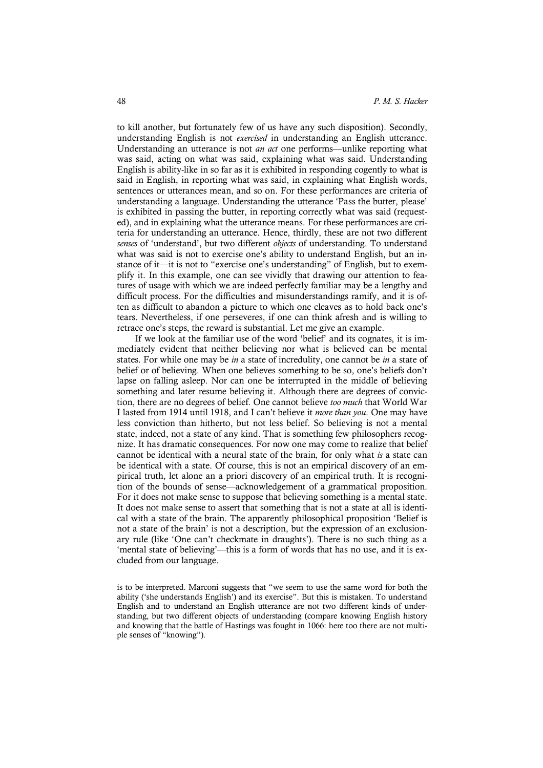to kill another, but fortunately few of us have any such disposition). Secondly, understanding English is not *exercised* in understanding an English utterance. Understanding an utterance is not *an act* one performs—unlike reporting what was said, acting on what was said, explaining what was said. Understanding English is ability-like in so far as it is exhibited in responding cogently to what is said in English, in reporting what was said, in explaining what English words, sentences or utterances mean, and so on. For these performances are criteria of understanding a language. Understanding the utterance 'Pass the butter, please' is exhibited in passing the butter, in reporting correctly what was said (requested), and in explaining what the utterance means. For these performances are criteria for understanding an utterance. Hence, thirdly, these are not two different *senses* of 'understand', but two different *objects* of understanding. To understand what was said is not to exercise one's ability to understand English, but an instance of it—it is not to "exercise one's understanding" of English, but to exemplify it. In this example, one can see vividly that drawing our attention to features of usage with which we are indeed perfectly familiar may be a lengthy and difficult process. For the difficulties and misunderstandings ramify, and it is often as difficult to abandon a picture to which one cleaves as to hold back one's tears. Nevertheless, if one perseveres, if one can think afresh and is willing to retrace one's steps, the reward is substantial. Let me give an example.

If we look at the familiar use of the word 'belief' and its cognates, it is immediately evident that neither believing nor what is believed can be mental states. For while one may be *in* a state of incredulity, one cannot be *in* a state of belief or of believing. When one believes something to be so, one's beliefs don't lapse on falling asleep. Nor can one be interrupted in the middle of believing something and later resume believing it. Although there are degrees of conviction, there are no degrees of belief. One cannot believe *too much* that World War I lasted from 1914 until 1918, and I can't believe it *more than you*. One may have less conviction than hitherto, but not less belief. So believing is not a mental state, indeed, not a state of any kind. That is something few philosophers recognize. It has dramatic consequences. For now one may come to realize that belief cannot be identical with a neural state of the brain, for only what *is* a state can be identical with a state. Of course, this is not an empirical discovery of an empirical truth, let alone an a priori discovery of an empirical truth. It is recognition of the bounds of sense—acknowledgement of a grammatical proposition. For it does not make sense to suppose that believing something is a mental state. It does not make sense to assert that something that is not a state at all is identical with a state of the brain. The apparently philosophical proposition 'Belief is not a state of the brain' is not a description, but the expression of an exclusionary rule (like 'One can't checkmate in draughts'). There is no such thing as a 'mental state of believing'—this is a form of words that has no use, and it is excluded from our language.

is to be interpreted. Marconi suggests that "we seem to use the same word for both the ability ('she understands English') and its exercise". But this is mistaken. To understand English and to understand an English utterance are not two different kinds of understanding, but two different objects of understanding (compare knowing English history and knowing that the battle of Hastings was fought in 1066: here too there are not multiple senses of "knowing").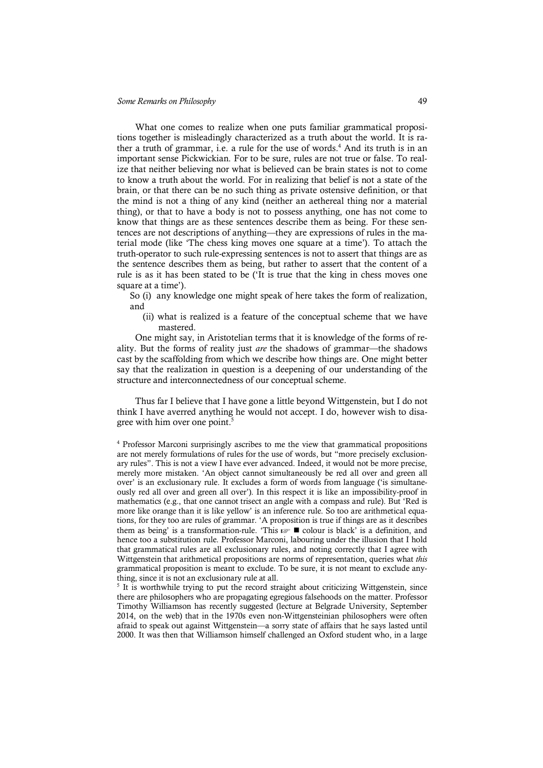What one comes to realize when one puts familiar grammatical propositions together is misleadingly characterized as a truth about the world. It is rather a truth of grammar, i.e. a rule for the use of words.<sup>4</sup> And its truth is in an important sense Pickwickian. For to be sure, rules are not true or false. To realize that neither believing nor what is believed can be brain states is not to come to know a truth about the world. For in realizing that belief is not a state of the brain, or that there can be no such thing as private ostensive definition, or that the mind is not a thing of any kind (neither an aethereal thing nor a material thing), or that to have a body is not to possess anything, one has not come to know that things are as these sentences describe them as being. For these sentences are not descriptions of anything—they are expressions of rules in the material mode (like 'The chess king moves one square at a time'). To attach the truth-operator to such rule-expressing sentences is not to assert that things are as the sentence describes them as being, but rather to assert that the content of a rule is as it has been stated to be ('It is true that the king in chess moves one square at a time').

So (i) any knowledge one might speak of here takes the form of realization, and

(ii) what is realized is a feature of the conceptual scheme that we have mastered.

One might say, in Aristotelian terms that it is knowledge of the forms of reality. But the forms of reality just *are* the shadows of grammar—the shadows cast by the scaffolding from which we describe how things are. One might better say that the realization in question is a deepening of our understanding of the structure and interconnectedness of our conceptual scheme.

Thus far I believe that I have gone a little beyond Wittgenstein, but I do not think I have averred anything he would not accept. I do, however wish to disagree with him over one point.<sup>5</sup>

<sup>4</sup> Professor Marconi surprisingly ascribes to me the view that grammatical propositions are not merely formulations of rules for the use of words, but "more precisely exclusionary rules". This is not a view I have ever advanced. Indeed, it would not be more precise, merely more mistaken. 'An object cannot simultaneously be red all over and green all over' is an exclusionary rule. It excludes a form of words from language ('is simultaneously red all over and green all over'). In this respect it is like an impossibility-proof in mathematics (e.g., that one cannot trisect an angle with a compass and rule). But 'Red is more like orange than it is like yellow' is an inference rule. So too are arithmetical equations, for they too are rules of grammar. 'A proposition is true if things are as it describes them as being' is a transformation-rule. 'This  $\mathbb{F}$   $\blacksquare$  colour is black' is a definition, and hence too a substitution rule. Professor Marconi, labouring under the illusion that I hold that grammatical rules are all exclusionary rules, and noting correctly that I agree with Wittgenstein that arithmetical propositions are norms of representation, queries what *this* grammatical proposition is meant to exclude. To be sure, it is not meant to exclude anything, since it is not an exclusionary rule at all.

<sup>&</sup>lt;sup>5</sup> It is worthwhile trying to put the record straight about criticizing Wittgenstein, since there are philosophers who are propagating egregious falsehoods on the matter. Professor Timothy Williamson has recently suggested (lecture at Belgrade University, September 2014, on the web) that in the 1970s even non-Wittgensteinian philosophers were often afraid to speak out against Wittgenstein—a sorry state of affairs that he says lasted until 2000. It was then that Williamson himself challenged an Oxford student who, in a large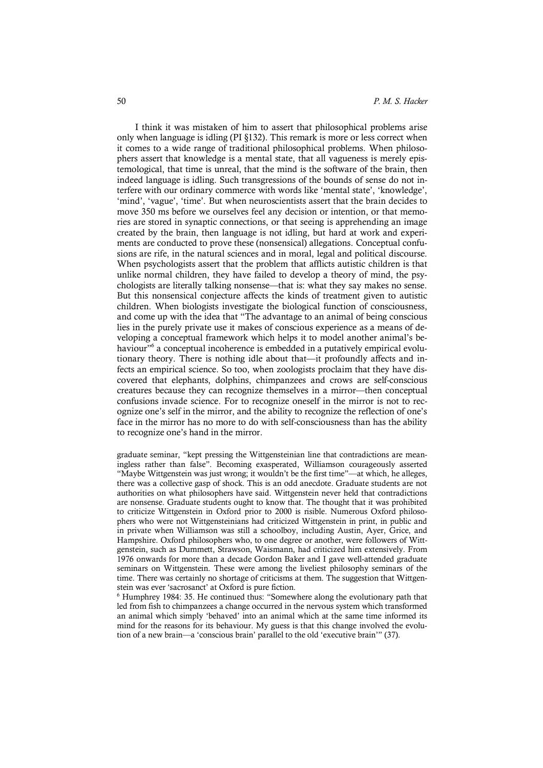I think it was mistaken of him to assert that philosophical problems arise only when language is idling (PI §132). This remark is more or less correct when it comes to a wide range of traditional philosophical problems. When philosophers assert that knowledge is a mental state, that all vagueness is merely epistemological, that time is unreal, that the mind is the software of the brain, then indeed language is idling. Such transgressions of the bounds of sense do not interfere with our ordinary commerce with words like 'mental state', 'knowledge', 'mind', 'vague', 'time'. But when neuroscientists assert that the brain decides to move 350 ms before we ourselves feel any decision or intention, or that memories are stored in synaptic connections, or that seeing is apprehending an image created by the brain, then language is not idling, but hard at work and experiments are conducted to prove these (nonsensical) allegations. Conceptual confusions are rife, in the natural sciences and in moral, legal and political discourse. When psychologists assert that the problem that afflicts autistic children is that unlike normal children, they have failed to develop a theory of mind, the psychologists are literally talking nonsense—that is: what they say makes no sense. But this nonsensical conjecture affects the kinds of treatment given to autistic children. When biologists investigate the biological function of consciousness, and come up with the idea that "The advantage to an animal of being conscious lies in the purely private use it makes of conscious experience as a means of developing a conceptual framework which helps it to model another animal's behaviour<sup>"6</sup> a conceptual incoherence is embedded in a putatively empirical evolutionary theory. There is nothing idle about that—it profoundly affects and infects an empirical science. So too, when zoologists proclaim that they have discovered that elephants, dolphins, chimpanzees and crows are self-conscious creatures because they can recognize themselves in a mirror—then conceptual confusions invade science. For to recognize oneself in the mirror is not to recognize one's self in the mirror, and the ability to recognize the reflection of one's face in the mirror has no more to do with self-consciousness than has the ability to recognize one's hand in the mirror.

graduate seminar, "kept pressing the Wittgensteinian line that contradictions are meaningless rather than false". Becoming exasperated, Williamson courageously asserted "Maybe Wittgenstein was just wrong; it wouldn't be the first time"—at which, he alleges, there was a collective gasp of shock. This is an odd anecdote. Graduate students are not authorities on what philosophers have said. Wittgenstein never held that contradictions are nonsense. Graduate students ought to know that. The thought that it was prohibited to criticize Wittgenstein in Oxford prior to 2000 is risible. Numerous Oxford philosophers who were not Wittgensteinians had criticized Wittgenstein in print, in public and in private when Williamson was still a schoolboy, including Austin, Ayer, Grice, and Hampshire. Oxford philosophers who, to one degree or another, were followers of Wittgenstein, such as Dummett, Strawson, Waismann, had criticized him extensively. From 1976 onwards for more than a decade Gordon Baker and I gave well-attended graduate seminars on Wittgenstein. These were among the liveliest philosophy seminars of the time. There was certainly no shortage of criticisms at them. The suggestion that Wittgenstein was ever 'sacrosanct' at Oxford is pure fiction.

<sup>6</sup> Humphrey 1984: 35. He continued thus: "Somewhere along the evolutionary path that led from fish to chimpanzees a change occurred in the nervous system which transformed an animal which simply 'behaved' into an animal which at the same time informed its mind for the reasons for its behaviour. My guess is that this change involved the evolution of a new brain—a 'conscious brain' parallel to the old 'executive brain'" (37).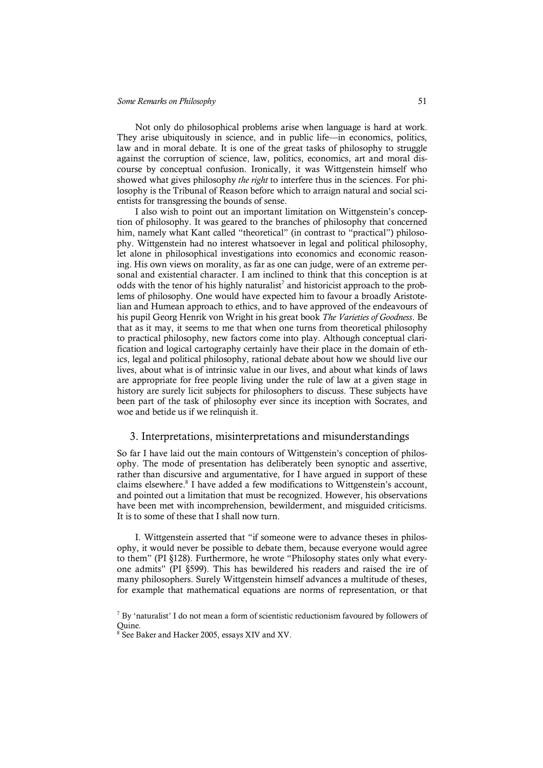#### *Some Remarks on Philosophy* 51

Not only do philosophical problems arise when language is hard at work. They arise ubiquitously in science, and in public life—in economics, politics, law and in moral debate. It is one of the great tasks of philosophy to struggle against the corruption of science, law, politics, economics, art and moral discourse by conceptual confusion. Ironically, it was Wittgenstein himself who showed what gives philosophy *the right* to interfere thus in the sciences. For philosophy is the Tribunal of Reason before which to arraign natural and social scientists for transgressing the bounds of sense.

I also wish to point out an important limitation on Wittgenstein's conception of philosophy. It was geared to the branches of philosophy that concerned him, namely what Kant called "theoretical" (in contrast to "practical") philosophy. Wittgenstein had no interest whatsoever in legal and political philosophy, let alone in philosophical investigations into economics and economic reasoning. His own views on morality, as far as one can judge, were of an extreme personal and existential character. I am inclined to think that this conception is at odds with the tenor of his highly naturalist<sup>7</sup> and historicist approach to the problems of philosophy. One would have expected him to favour a broadly Aristotelian and Humean approach to ethics, and to have approved of the endeavours of his pupil Georg Henrik von Wright in his great book *The Varieties of Goodness*. Be that as it may, it seems to me that when one turns from theoretical philosophy to practical philosophy, new factors come into play. Although conceptual clarification and logical cartography certainly have their place in the domain of ethics, legal and political philosophy, rational debate about how we should live our lives, about what is of intrinsic value in our lives, and about what kinds of laws are appropriate for free people living under the rule of law at a given stage in history are surely licit subjects for philosophers to discuss. These subjects have been part of the task of philosophy ever since its inception with Socrates, and woe and betide us if we relinquish it.

# 3. Interpretations, misinterpretations and misunderstandings

So far I have laid out the main contours of Wittgenstein's conception of philosophy. The mode of presentation has deliberately been synoptic and assertive, rather than discursive and argumentative, for I have argued in support of these claims elsewhere.8 I have added a few modifications to Wittgenstein's account, and pointed out a limitation that must be recognized. However, his observations have been met with incomprehension, bewilderment, and misguided criticisms. It is to some of these that I shall now turn.

I. Wittgenstein asserted that "if someone were to advance theses in philosophy, it would never be possible to debate them, because everyone would agree to them" (PI §128). Furthermore, he wrote "Philosophy states only what everyone admits" (PI §599). This has bewildered his readers and raised the ire of many philosophers. Surely Wittgenstein himself advances a multitude of theses, for example that mathematical equations are norms of representation, or that

<sup>7</sup> By 'naturalist' I do not mean a form of scientistic reductionism favoured by followers of Quine.

<sup>8</sup> See Baker and Hacker 2005, essays XIV and XV.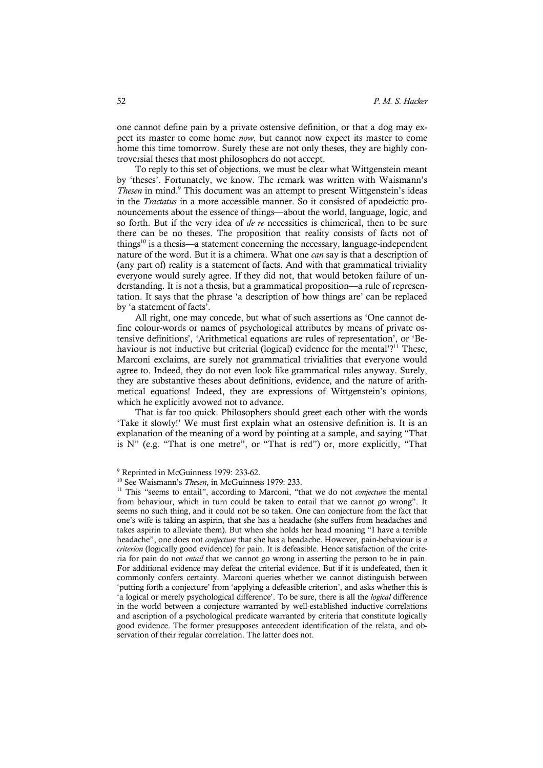one cannot define pain by a private ostensive definition, or that a dog may expect its master to come home *now*, but cannot now expect its master to come home this time tomorrow. Surely these are not only theses, they are highly controversial theses that most philosophers do not accept.

To reply to this set of objections, we must be clear what Wittgenstein meant by 'theses'. Fortunately, we know. The remark was written with Waismann's *Thesen* in mind.9 This document was an attempt to present Wittgenstein's ideas in the *Tractatus* in a more accessible manner. So it consisted of apodeictic pronouncements about the essence of things—about the world, language, logic, and so forth. But if the very idea of *de re* necessities is chimerical, then to be sure there can be no theses. The proposition that reality consists of facts not of things<sup>10</sup> is a thesis—a statement concerning the necessary, language-independent nature of the word. But it is a chimera. What one *can* say is that a description of (any part of) reality is a statement of facts. And with that grammatical triviality everyone would surely agree. If they did not, that would betoken failure of understanding. It is not a thesis, but a grammatical proposition—a rule of representation. It says that the phrase 'a description of how things are' can be replaced by 'a statement of facts'.

All right, one may concede, but what of such assertions as 'One cannot define colour-words or names of psychological attributes by means of private ostensive definitions', 'Arithmetical equations are rules of representation', or 'Behaviour is not inductive but criterial (logical) evidence for the mental'?<sup>11</sup> These, Marconi exclaims, are surely not grammatical trivialities that everyone would agree to. Indeed, they do not even look like grammatical rules anyway. Surely, they are substantive theses about definitions, evidence, and the nature of arithmetical equations! Indeed, they are expressions of Wittgenstein's opinions, which he explicitly avowed not to advance.

That is far too quick. Philosophers should greet each other with the words 'Take it slowly!' We must first explain what an ostensive definition is. It is an explanation of the meaning of a word by pointing at a sample, and saying "That is N" (e.g. "That is one metre", or "That is red") or, more explicitly, "That

<sup>9</sup> Reprinted in McGuinness 1979: 233-62.

<sup>&</sup>lt;sup>10</sup> See Waismann's *Thesen*, in McGuinness 1979: 233.

<sup>&</sup>lt;sup>11</sup> This "seems to entail", according to Marconi, "that we do not *conjecture* the mental from behaviour, which in turn could be taken to entail that we cannot go wrong". It seems no such thing, and it could not be so taken. One can conjecture from the fact that one's wife is taking an aspirin, that she has a headache (she suffers from headaches and takes aspirin to alleviate them). But when she holds her head moaning "I have a terrible headache", one does not *conjecture* that she has a headache. However, pain-behaviour is *a criterion* (logically good evidence) for pain. It is defeasible. Hence satisfaction of the criteria for pain do not *entail* that we cannot go wrong in asserting the person to be in pain. For additional evidence may defeat the criterial evidence. But if it is undefeated, then it commonly confers certainty. Marconi queries whether we cannot distinguish between 'putting forth a conjecture' from 'applying a defeasible criterion', and asks whether this is 'a logical or merely psychological difference'. To be sure, there is all the *logical* difference in the world between a conjecture warranted by well-established inductive correlations and ascription of a psychological predicate warranted by criteria that constitute logically good evidence. The former presupposes antecedent identification of the relata, and observation of their regular correlation. The latter does not.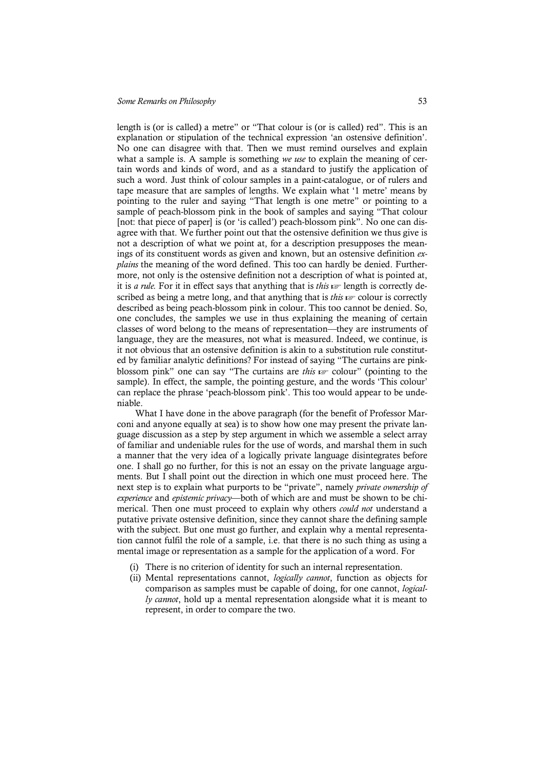#### *Some Remarks on Philosophy* 53

length is (or is called) a metre" or "That colour is (or is called) red". This is an explanation or stipulation of the technical expression 'an ostensive definition'. No one can disagree with that. Then we must remind ourselves and explain what a sample is. A sample is something *we use* to explain the meaning of certain words and kinds of word, and as a standard to justify the application of such a word. Just think of colour samples in a paint-catalogue, or of rulers and tape measure that are samples of lengths. We explain what '1 metre' means by pointing to the ruler and saying "That length is one metre" or pointing to a sample of peach-blossom pink in the book of samples and saying "That colour [not: that piece of paper] is (or 'is called') peach-blossom pink". No one can disagree with that. We further point out that the ostensive definition we thus give is not a description of what we point at, for a description presupposes the meanings of its constituent words as given and known, but an ostensive definition *explains* the meaning of the word defined. This too can hardly be denied. Furthermore, not only is the ostensive definition not a description of what is pointed at, it is *a rule.* For it in effect says that anything that is *this* ☞ length is correctly described as being a metre long, and that anything that is *this* ☞ colour is correctly described as being peach-blossom pink in colour. This too cannot be denied. So, one concludes, the samples we use in thus explaining the meaning of certain classes of word belong to the means of representation—they are instruments of language, they are the measures, not what is measured. Indeed, we continue, is it not obvious that an ostensive definition is akin to a substitution rule constituted by familiar analytic definitions? For instead of saying "The curtains are pinkblossom pink" one can say "The curtains are *this* ☞ colour" (pointing to the sample). In effect, the sample, the pointing gesture, and the words 'This colour' can replace the phrase 'peach-blossom pink'. This too would appear to be undeniable.

What I have done in the above paragraph (for the benefit of Professor Marconi and anyone equally at sea) is to show how one may present the private language discussion as a step by step argument in which we assemble a select array of familiar and undeniable rules for the use of words, and marshal them in such a manner that the very idea of a logically private language disintegrates before one. I shall go no further, for this is not an essay on the private language arguments. But I shall point out the direction in which one must proceed here. The next step is to explain what purports to be "private", namely *private ownership of experience* and *epistemic privacy*—both of which are and must be shown to be chimerical. Then one must proceed to explain why others *could not* understand a putative private ostensive definition, since they cannot share the defining sample with the subject. But one must go further, and explain why a mental representation cannot fulfil the role of a sample, i.e. that there is no such thing as using a mental image or representation as a sample for the application of a word. For

- (i) There is no criterion of identity for such an internal representation.
- (ii) Mental representations cannot, *logically cannot*, function as objects for comparison as samples must be capable of doing, for one cannot, *logically cannot*, hold up a mental representation alongside what it is meant to represent, in order to compare the two.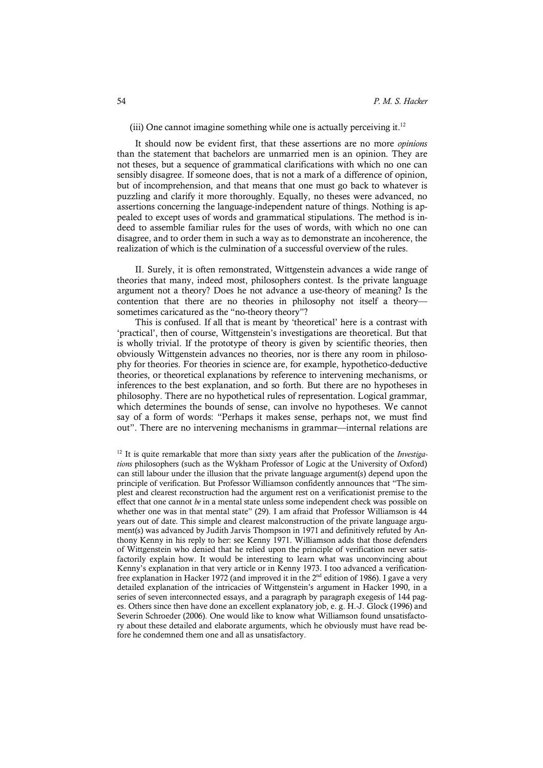(iii) One cannot imagine something while one is actually perceiving it.<sup>12</sup>

It should now be evident first, that these assertions are no more *opinions* than the statement that bachelors are unmarried men is an opinion. They are not theses, but a sequence of grammatical clarifications with which no one can sensibly disagree. If someone does, that is not a mark of a difference of opinion, but of incomprehension, and that means that one must go back to whatever is puzzling and clarify it more thoroughly. Equally, no theses were advanced, no assertions concerning the language-independent nature of things. Nothing is appealed to except uses of words and grammatical stipulations. The method is indeed to assemble familiar rules for the uses of words, with which no one can disagree, and to order them in such a way as to demonstrate an incoherence, the realization of which is the culmination of a successful overview of the rules.

II. Surely, it is often remonstrated, Wittgenstein advances a wide range of theories that many, indeed most, philosophers contest. Is the private language argument not a theory? Does he not advance a use-theory of meaning? Is the contention that there are no theories in philosophy not itself a theory sometimes caricatured as the "no-theory theory"?

This is confused. If all that is meant by 'theoretical' here is a contrast with 'practical', then of course, Wittgenstein's investigations are theoretical. But that is wholly trivial. If the prototype of theory is given by scientific theories, then obviously Wittgenstein advances no theories, nor is there any room in philosophy for theories. For theories in science are, for example, hypothetico-deductive theories, or theoretical explanations by reference to intervening mechanisms, or inferences to the best explanation, and so forth. But there are no hypotheses in philosophy. There are no hypothetical rules of representation. Logical grammar, which determines the bounds of sense, can involve no hypotheses. We cannot say of a form of words: "Perhaps it makes sense, perhaps not, we must find out". There are no intervening mechanisms in grammar—internal relations are

<sup>12</sup> It is quite remarkable that more than sixty years after the publication of the *Investigations* philosophers (such as the Wykham Professor of Logic at the University of Oxford) can still labour under the illusion that the private language argument(s) depend upon the principle of verification. But Professor Williamson confidently announces that "The simplest and clearest reconstruction had the argument rest on a verificationist premise to the effect that one cannot *be* in a mental state unless some independent check was possible on whether one was in that mental state" (29). I am afraid that Professor Williamson is 44 years out of date. This simple and clearest malconstruction of the private language argument(s) was advanced by Judith Jarvis Thompson in 1971 and definitively refuted by Anthony Kenny in his reply to her: see Kenny 1971. Williamson adds that those defenders of Wittgenstein who denied that he relied upon the principle of verification never satisfactorily explain how. It would be interesting to learn what was unconvincing about Kenny's explanation in that very article or in Kenny 1973. I too advanced a verificationfree explanation in Hacker 1972 (and improved it in the 2<sup>nd</sup> edition of 1986). I gave a very detailed explanation of the intricacies of Wittgenstein's argument in Hacker 1990, in a series of seven interconnected essays, and a paragraph by paragraph exegesis of 144 pages. Others since then have done an excellent explanatory job, e. g. H.-J. Glock (1996) and Severin Schroeder (2006). One would like to know what Williamson found unsatisfactory about these detailed and elaborate arguments, which he obviously must have read before he condemned them one and all as unsatisfactory.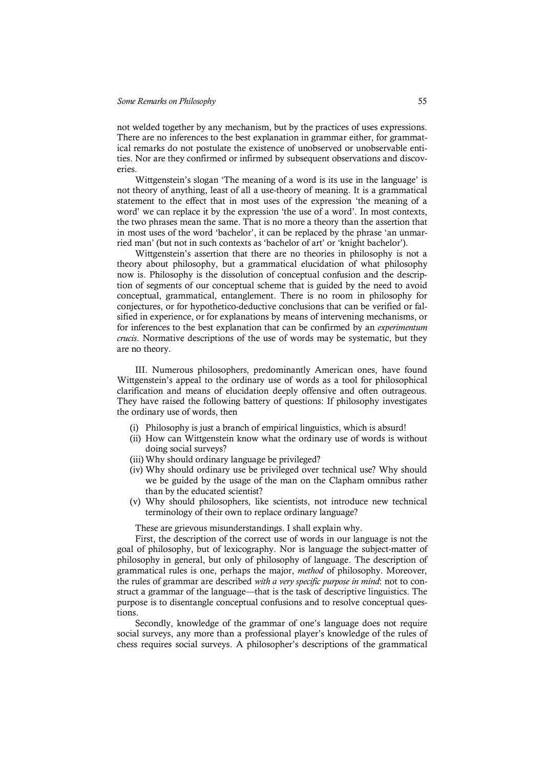not welded together by any mechanism, but by the practices of uses expressions. There are no inferences to the best explanation in grammar either, for grammatical remarks do not postulate the existence of unobserved or unobservable entities. Nor are they confirmed or infirmed by subsequent observations and discoveries.

Wittgenstein's slogan 'The meaning of a word is its use in the language' is not theory of anything, least of all a use-theory of meaning. It is a grammatical statement to the effect that in most uses of the expression 'the meaning of a word' we can replace it by the expression 'the use of a word'. In most contexts, the two phrases mean the same. That is no more a theory than the assertion that in most uses of the word 'bachelor', it can be replaced by the phrase 'an unmarried man' (but not in such contexts as 'bachelor of art' or 'knight bachelor').

Wittgenstein's assertion that there are no theories in philosophy is not a theory about philosophy, but a grammatical elucidation of what philosophy now is. Philosophy is the dissolution of conceptual confusion and the description of segments of our conceptual scheme that is guided by the need to avoid conceptual, grammatical, entanglement. There is no room in philosophy for conjectures, or for hypothetico-deductive conclusions that can be verified or falsified in experience, or for explanations by means of intervening mechanisms, or for inferences to the best explanation that can be confirmed by an *experimentum crucis*. Normative descriptions of the use of words may be systematic, but they are no theory.

III. Numerous philosophers, predominantly American ones, have found Wittgenstein's appeal to the ordinary use of words as a tool for philosophical clarification and means of elucidation deeply offensive and often outrageous. They have raised the following battery of questions: If philosophy investigates the ordinary use of words, then

- (i) Philosophy is just a branch of empirical linguistics, which is absurd!
- (ii) How can Wittgenstein know what the ordinary use of words is without doing social surveys?
- (iii) Why should ordinary language be privileged?
- (iv) Why should ordinary use be privileged over technical use? Why should we be guided by the usage of the man on the Clapham omnibus rather than by the educated scientist?
- (v) Why should philosophers, like scientists, not introduce new technical terminology of their own to replace ordinary language?

These are grievous misunderstandings. I shall explain why.

First, the description of the correct use of words in our language is not the goal of philosophy, but of lexicography. Nor is language the subject-matter of philosophy in general, but only of philosophy of language. The description of grammatical rules is one, perhaps the major, *method* of philosophy. Moreover, the rules of grammar are described *with a very specific purpose in mind*: not to construct a grammar of the language—that is the task of descriptive linguistics. The purpose is to disentangle conceptual confusions and to resolve conceptual questions.

Secondly, knowledge of the grammar of one's language does not require social surveys, any more than a professional player's knowledge of the rules of chess requires social surveys. A philosopher's descriptions of the grammatical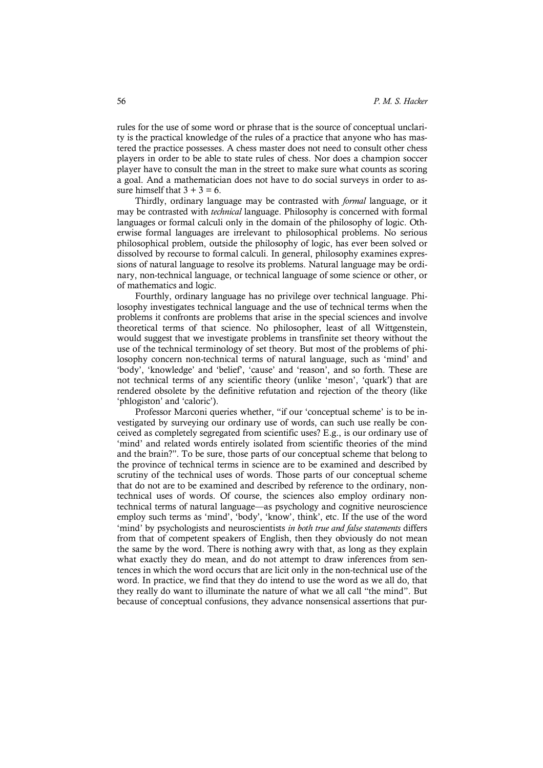rules for the use of some word or phrase that is the source of conceptual unclarity is the practical knowledge of the rules of a practice that anyone who has mastered the practice possesses. A chess master does not need to consult other chess players in order to be able to state rules of chess. Nor does a champion soccer player have to consult the man in the street to make sure what counts as scoring a goal. And a mathematician does not have to do social surveys in order to assure himself that  $3 + 3 = 6$ .

Thirdly, ordinary language may be contrasted with *formal* language, or it may be contrasted with *technical* language. Philosophy is concerned with formal languages or formal calculi only in the domain of the philosophy of logic. Otherwise formal languages are irrelevant to philosophical problems. No serious philosophical problem, outside the philosophy of logic, has ever been solved or dissolved by recourse to formal calculi. In general, philosophy examines expressions of natural language to resolve its problems. Natural language may be ordinary, non-technical language, or technical language of some science or other, or of mathematics and logic.

Fourthly, ordinary language has no privilege over technical language. Philosophy investigates technical language and the use of technical terms when the problems it confronts are problems that arise in the special sciences and involve theoretical terms of that science. No philosopher, least of all Wittgenstein, would suggest that we investigate problems in transfinite set theory without the use of the technical terminology of set theory. But most of the problems of philosophy concern non-technical terms of natural language, such as 'mind' and 'body', 'knowledge' and 'belief', 'cause' and 'reason', and so forth. These are not technical terms of any scientific theory (unlike 'meson', 'quark') that are rendered obsolete by the definitive refutation and rejection of the theory (like 'phlogiston' and 'caloric').

Professor Marconi queries whether, "if our 'conceptual scheme' is to be investigated by surveying our ordinary use of words, can such use really be conceived as completely segregated from scientific uses? E.g., is our ordinary use of 'mind' and related words entirely isolated from scientific theories of the mind and the brain?". To be sure, those parts of our conceptual scheme that belong to the province of technical terms in science are to be examined and described by scrutiny of the technical uses of words. Those parts of our conceptual scheme that do not are to be examined and described by reference to the ordinary, nontechnical uses of words. Of course, the sciences also employ ordinary nontechnical terms of natural language—as psychology and cognitive neuroscience employ such terms as 'mind', 'body', 'know', think', etc. If the use of the word 'mind' by psychologists and neuroscientists *in both true and false statements* differs from that of competent speakers of English, then they obviously do not mean the same by the word. There is nothing awry with that, as long as they explain what exactly they do mean, and do not attempt to draw inferences from sentences in which the word occurs that are licit only in the non-technical use of the word. In practice, we find that they do intend to use the word as we all do, that they really do want to illuminate the nature of what we all call "the mind". But because of conceptual confusions, they advance nonsensical assertions that pur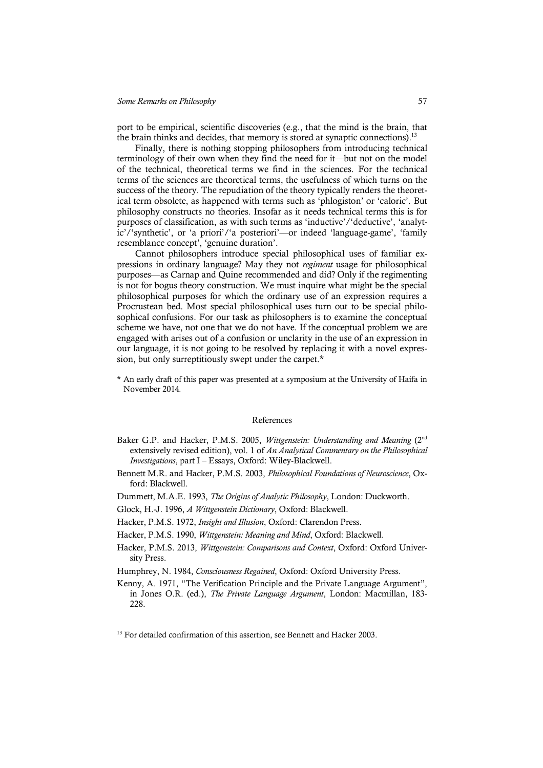port to be empirical, scientific discoveries (e.g., that the mind is the brain, that the brain thinks and decides, that memory is stored at synaptic connections).<sup>13</sup>

Finally, there is nothing stopping philosophers from introducing technical terminology of their own when they find the need for it—but not on the model of the technical, theoretical terms we find in the sciences. For the technical terms of the sciences are theoretical terms, the usefulness of which turns on the success of the theory. The repudiation of the theory typically renders the theoretical term obsolete, as happened with terms such as 'phlogiston' or 'caloric'. But philosophy constructs no theories. Insofar as it needs technical terms this is for purposes of classification, as with such terms as 'inductive'/'deductive', 'analytic'/'synthetic', or 'a priori'/'a posteriori'—or indeed 'language-game', 'family resemblance concept', 'genuine duration'.

Cannot philosophers introduce special philosophical uses of familiar expressions in ordinary language? May they not *regiment* usage for philosophical purposes—as Carnap and Quine recommended and did? Only if the regimenting is not for bogus theory construction. We must inquire what might be the special philosophical purposes for which the ordinary use of an expression requires a Procrustean bed. Most special philosophical uses turn out to be special philosophical confusions. For our task as philosophers is to examine the conceptual scheme we have, not one that we do not have. If the conceptual problem we are engaged with arises out of a confusion or unclarity in the use of an expression in our language, it is not going to be resolved by replacing it with a novel expression, but only surreptitiously swept under the carpet.\*

\* An early draft of this paper was presented at a symposium at the University of Haifa in November 2014*.*

#### References

- Baker G.P. and Hacker, P.M.S. 2005, *Wittgenstein: Understanding and Meaning* (2nd extensively revised edition), vol. 1 of *An Analytical Commentary on the Philosophical Investigations*, part I – Essays, Oxford: Wiley-Blackwell.
- Bennett M.R. and Hacker, P.M.S. 2003, *Philosophical Foundations of Neuroscience*, Oxford: Blackwell.
- Dummett, M.A.E. 1993, *The Origins of Analytic Philosophy*, London: Duckworth.
- Glock, H.-J. 1996, *A Wittgenstein Dictionary*, Oxford: Blackwell.
- Hacker, P.M.S. 1972, *Insight and Illusion*, Oxford: Clarendon Press.
- Hacker, P.M.S. 1990, *Wittgenstein: Meaning and Mind*, Oxford: Blackwell.
- Hacker, P.M.S. 2013, *Wittgenstein: Comparisons and Context*, Oxford: Oxford University Press.
- Humphrey, N. 1984, *Consciousness Regained*, Oxford: Oxford University Press.
- Kenny, A. 1971, "The Verification Principle and the Private Language Argument", in Jones O.R. (ed.), *The Private Language Argument*, London: Macmillan, 183- 228.

 $13$  For detailed confirmation of this assertion, see Bennett and Hacker 2003.